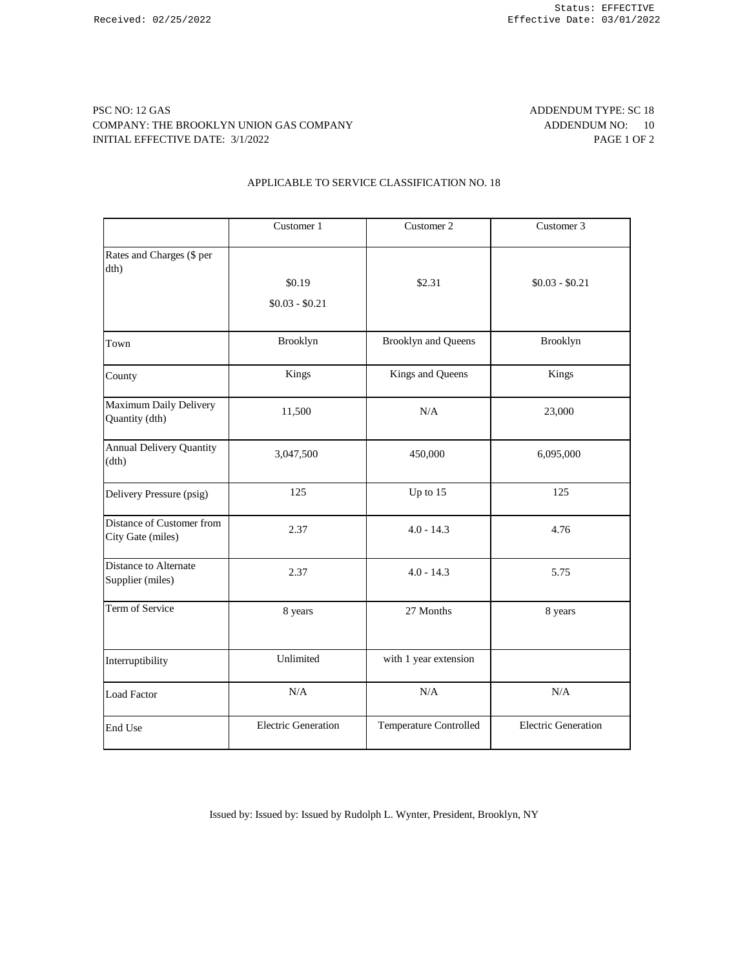### PSC NO: 12 GAS ADDENDUM TYPE: SC 18 COMPANY: THE BROOKLYN UNION GAS COMPANY **ADDENDUM NO:** 10 INITIAL EFFECTIVE DATE: 3/1/2022 PAGE 1 OF 2

# APPLICABLE TO SERVICE CLASSIFICATION NO. 18

|                                                | Customer 1                 | Customer 2                 | Customer 3                 |
|------------------------------------------------|----------------------------|----------------------------|----------------------------|
| Rates and Charges (\$ per<br>dth)              | \$0.19<br>$$0.03 - $0.21$  | \$2.31                     | $$0.03 - $0.21$            |
| Town                                           | Brooklyn                   | <b>Brooklyn and Queens</b> | Brooklyn                   |
| County                                         | Kings                      | Kings and Queens           | Kings                      |
| Maximum Daily Delivery<br>Quantity (dth)       | 11,500                     | N/A                        | 23,000                     |
| <b>Annual Delivery Quantity</b><br>(dth)       | 3,047,500                  | 450,000                    | 6,095,000                  |
| Delivery Pressure (psig)                       | 125                        | Up to 15                   | 125                        |
| Distance of Customer from<br>City Gate (miles) | 2.37                       | $4.0 - 14.3$               | 4.76                       |
| Distance to Alternate<br>Supplier (miles)      | 2.37                       | $4.0 - 14.3$               | 5.75                       |
| Term of Service                                | 8 years                    | 27 Months                  | 8 years                    |
| Interruptibility                               | Unlimited                  | with 1 year extension      |                            |
| <b>Load Factor</b>                             | N/A                        | N/A                        | N/A                        |
| End Use                                        | <b>Electric Generation</b> | Temperature Controlled     | <b>Electric Generation</b> |

Issued by: Issued by: Issued by Rudolph L. Wynter, President, Brooklyn, NY